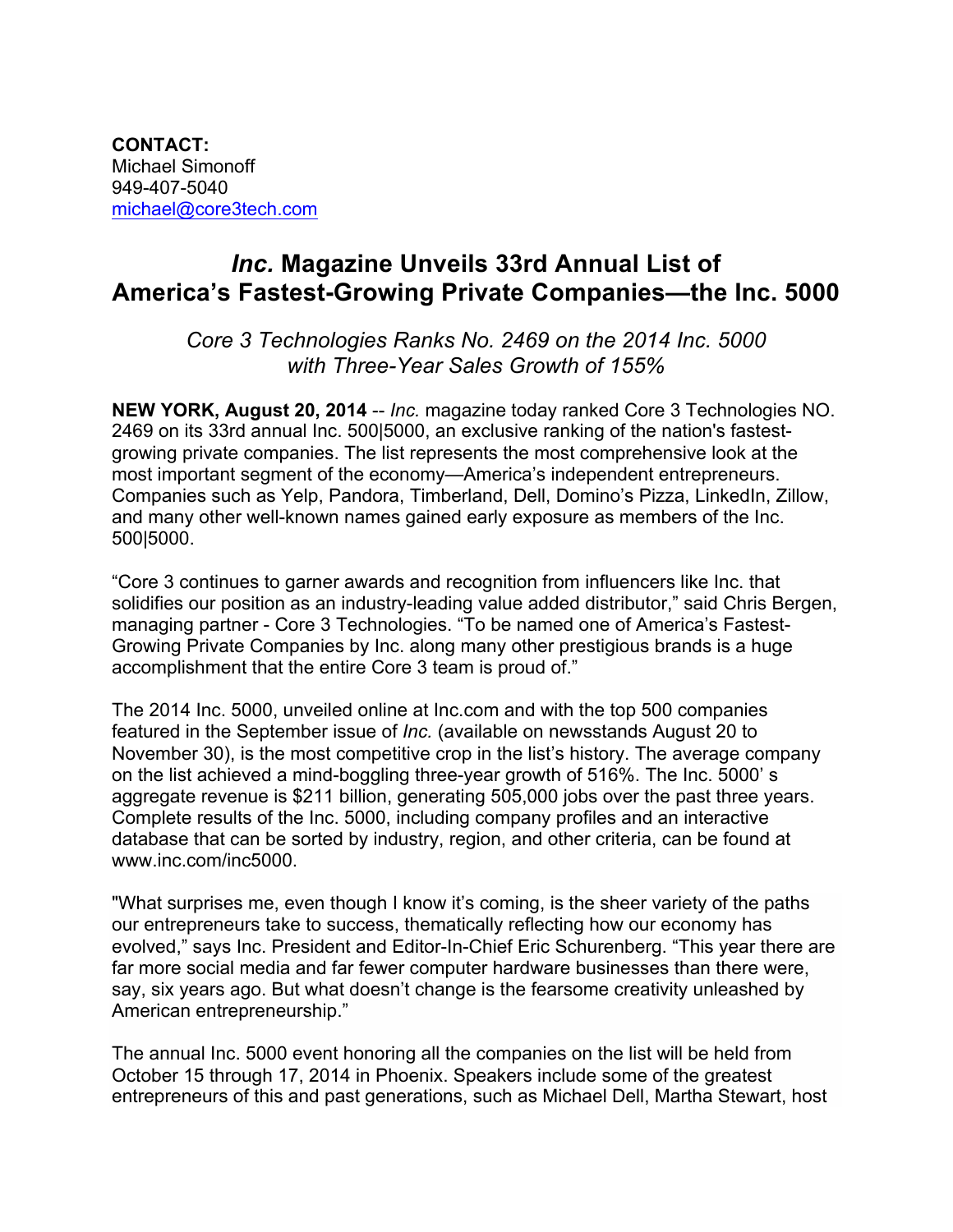**CONTACT:** Michael Simonoff 949-407-5040 michael@core3tech.com

# *Inc.* **Magazine Unveils 33rd Annual List of America's Fastest-Growing Private Companies—the Inc. 5000**

*Core 3 Technologies Ranks No. 2469 on the 2014 Inc. 5000 with Three-Year Sales Growth of 155%*

**NEW YORK, August 20, 2014** -- *Inc.* magazine today ranked Core 3 Technologies NO. 2469 on its 33rd annual Inc. 500|5000, an exclusive ranking of the nation's fastestgrowing private companies. The list represents the most comprehensive look at the most important segment of the economy—America's independent entrepreneurs. Companies such as Yelp, Pandora, Timberland, Dell, Domino's Pizza, LinkedIn, Zillow, and many other well-known names gained early exposure as members of the Inc. 500|5000.

"Core 3 continues to garner awards and recognition from influencers like Inc. that solidifies our position as an industry-leading value added distributor," said Chris Bergen, managing partner - Core 3 Technologies. "To be named one of America's Fastest-Growing Private Companies by Inc. along many other prestigious brands is a huge accomplishment that the entire Core 3 team is proud of."

The 2014 Inc. 5000, unveiled online at Inc.com and with the top 500 companies featured in the September issue of *Inc.* (available on newsstands August 20 to November 30), is the most competitive crop in the list's history. The average company on the list achieved a mind-boggling three-year growth of 516%. The Inc. 5000' s aggregate revenue is \$211 billion, generating 505,000 jobs over the past three years. Complete results of the Inc. 5000, including company profiles and an interactive database that can be sorted by industry, region, and other criteria, can be found at www.inc.com/inc5000.

"What surprises me, even though I know it's coming, is the sheer variety of the paths our entrepreneurs take to success, thematically reflecting how our economy has evolved," says Inc. President and Editor-In-Chief Eric Schurenberg. "This year there are far more social media and far fewer computer hardware businesses than there were, say, six years ago. But what doesn't change is the fearsome creativity unleashed by American entrepreneurship."

The annual Inc. 5000 event honoring all the companies on the list will be held from October 15 through 17, 2014 in Phoenix. Speakers include some of the greatest entrepreneurs of this and past generations, such as Michael Dell, Martha Stewart, host